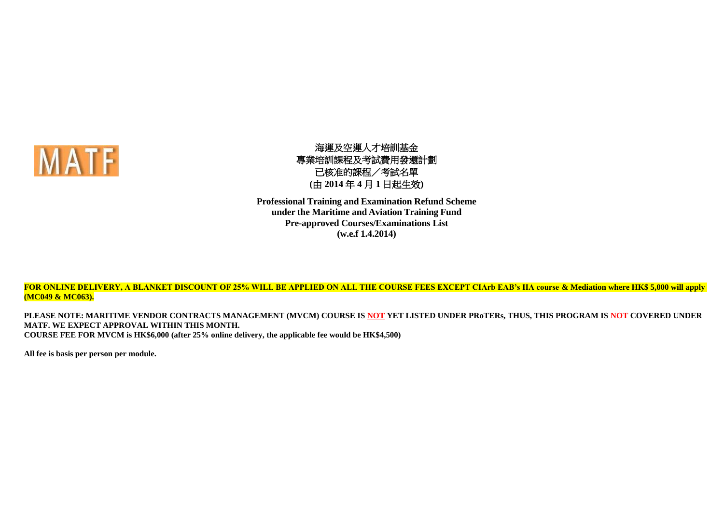

海運及空運人才培訓基金 專業培訓課程及考試費用發還計劃 已核准的課程/考試名單 **(**由 **2014** 年 **4** 月 **1** 日起生效**)**

**Professional Training and Examination Refund Scheme under the Maritime and Aviation Training Fund Pre-approved Courses/Examinations List (w.e.f 1.4.2014)**

**FOR ONLINE DELIVERY, A BLANKET DISCOUNT OF 25% WILL BE APPLIED ON ALL THE COURSE FEES EXCEPT CIArb EAB's IIA course & Mediation where HK\$ 5,000 will apply (MC049 & MC063).**

**PLEASE NOTE: MARITIME VENDOR CONTRACTS MANAGEMENT (MVCM) COURSE IS NOT YET LISTED UNDER PRoTERs, THUS, THIS PROGRAM IS NOT COVERED UNDER MATF. WE EXPECT APPROVAL WITHIN THIS MONTH. COURSE FEE FOR MVCM is HK\$6,000 (after 25% online delivery, the applicable fee would be HK\$4,500)**

**All fee is basis per person per module.**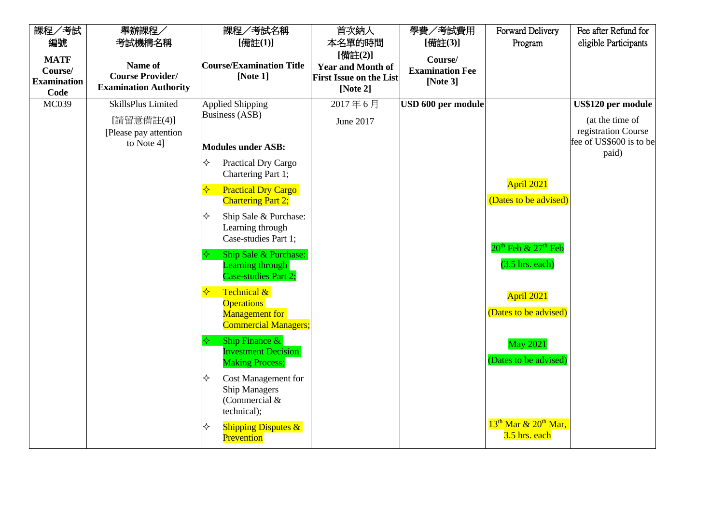| 課程/考試                                                | 舉辦課程/                                                              | 課程/考試名稱                                                                                       | 首次納入                                                                                 | 學費/考試費用                                          | <b>Forward Delivery</b>                       | Fee after Refund for             |  |                                        |
|------------------------------------------------------|--------------------------------------------------------------------|-----------------------------------------------------------------------------------------------|--------------------------------------------------------------------------------------|--------------------------------------------------|-----------------------------------------------|----------------------------------|--|----------------------------------------|
| 編號                                                   | 考試機構名稱                                                             | [備註(1)]                                                                                       | 本名單的時間                                                                               | [備註(3)]                                          | Program                                       | eligible Participants            |  |                                        |
| <b>MATF</b><br>Course/<br><b>Examination</b><br>Code | Name of<br><b>Course Provider/</b><br><b>Examination Authority</b> | <b>Course/Examination Title</b><br>[Note $1$ ]                                                | [備註(2)]<br><b>Year and Month of</b><br><b>First Issue on the List</b><br>[Note $2$ ] | Course/<br><b>Examination Fee</b><br>[Note $3$ ] |                                               |                                  |  |                                        |
| MC039                                                | SkillsPlus Limited                                                 | <b>Applied Shipping</b>                                                                       | 2017年6月                                                                              | USD 600 per module                               |                                               | US\$120 per module               |  |                                        |
|                                                      | [請留意備註(4)]<br>[Please pay attention]                               | <b>Business (ASB)</b>                                                                         |                                                                                      |                                                  | June 2017                                     |                                  |  | (at the time of<br>registration Course |
|                                                      | to Note 41                                                         | <b>Modules under ASB:</b>                                                                     |                                                                                      |                                                  |                                               | fee of US\$600 is to be<br>paid) |  |                                        |
|                                                      |                                                                    | ✧<br>Practical Dry Cargo<br>Chartering Part 1;                                                |                                                                                      |                                                  |                                               |                                  |  |                                        |
|                                                      |                                                                    | <b>Practical Dry Cargo</b><br>✧<br><b>Chartering Part 2;</b>                                  |                                                                                      |                                                  | April 2021<br>(Dates to be advised)           |                                  |  |                                        |
|                                                      |                                                                    | Ship Sale & Purchase:<br>✧<br>Learning through<br>Case-studies Part 1;                        |                                                                                      |                                                  |                                               |                                  |  |                                        |
|                                                      |                                                                    | Ship Sale & Purchase:<br>Learning through<br>Case-studies Part 2;                             |                                                                                      |                                                  | $20th$ Feb & $27th$ Feb<br>$(3.5)$ hrs. each) |                                  |  |                                        |
|                                                      |                                                                    | Technical &<br>❖<br><b>Operations</b><br><b>Management</b> for<br><b>Commercial Managers;</b> |                                                                                      |                                                  | April 2021<br>(Dates to be advised)           |                                  |  |                                        |
|                                                      |                                                                    | Ship Finance $\&$<br><b>Investment Decision</b><br><b>Making Process;</b>                     |                                                                                      |                                                  | <b>May 2021</b><br>(Dates to be advised)      |                                  |  |                                        |
|                                                      |                                                                    | ✧<br>Cost Management for<br><b>Ship Managers</b><br>(Commercial &<br>technical);              |                                                                                      |                                                  |                                               |                                  |  |                                        |
|                                                      |                                                                    | <b>Shipping Disputes &amp;</b><br>✧<br>Prevention                                             |                                                                                      |                                                  | $13th$ Mar & $20th$ Mar,<br>3.5 hrs. each     |                                  |  |                                        |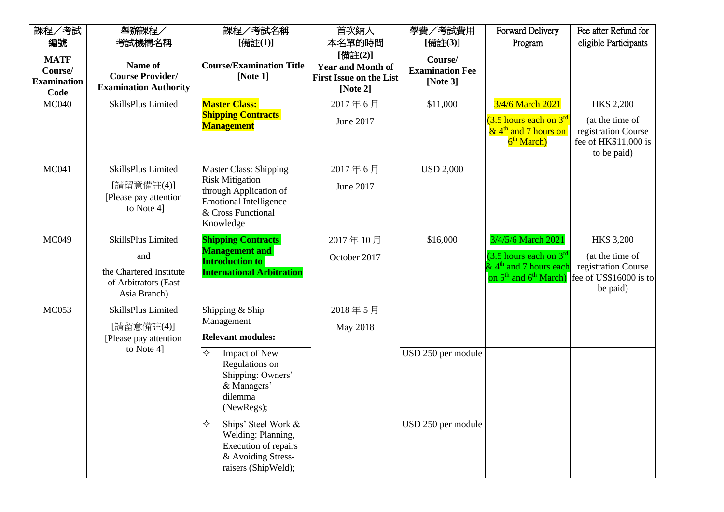| 課程/考試<br>編號<br><b>MATF</b><br>Course/<br><b>Examination</b><br>Code | 舉辦課程/<br>考試機構名稱<br>Name of<br><b>Course Provider/</b><br><b>Examination Authority</b>        | 課程/考試名稱<br>[備註(1)]<br><b>Course/Examination Title</b><br>[Note 1]                                                                              | 首次納入<br>本名單的時間<br>[備註(2)]<br><b>Year and Month of</b><br><b>First Issue on the List</b><br>[Note $2$ ] | 學費/考試費用<br>[備註(3)]<br>Course/<br><b>Examination Fee</b><br>[Note $3$ ] | Forward Delivery<br>Program                                                                                            | Fee after Refund for<br>eligible Participants                                               |
|---------------------------------------------------------------------|----------------------------------------------------------------------------------------------|------------------------------------------------------------------------------------------------------------------------------------------------|--------------------------------------------------------------------------------------------------------|------------------------------------------------------------------------|------------------------------------------------------------------------------------------------------------------------|---------------------------------------------------------------------------------------------|
| <b>MC040</b>                                                        | SkillsPlus Limited                                                                           | <b>Master Class:</b><br><b>Shipping Contracts</b><br>Management                                                                                | 2017年6月<br>June 2017                                                                                   | \$11,000                                                               | 3/4/6 March 2021<br>$(3.5$ hours each on $3rd$<br>$\&$ 4 <sup>th</sup> and 7 hours on<br>6 <sup>th</sup> March)        | HK\$ 2,200<br>(at the time of<br>registration Course<br>fee of HK\$11,000 is<br>to be paid) |
| <b>MC041</b>                                                        | SkillsPlus Limited<br>[請留意備註(4)]<br>[Please pay attention<br>to Note 4]                      | Master Class: Shipping<br><b>Risk Mitigation</b><br>through Application of<br><b>Emotional Intelligence</b><br>& Cross Functional<br>Knowledge | 2017年6月<br>June 2017                                                                                   | <b>USD 2,000</b>                                                       |                                                                                                                        |                                                                                             |
| <b>MC049</b>                                                        | SkillsPlus Limited<br>and<br>the Chartered Institute<br>of Arbitrators (East<br>Asia Branch) | <b>Shipping Contracts</b><br><b>Management</b> and<br><b>Introduction to</b><br><b>International Arbitration</b>                               | 2017年10月<br>October 2017                                                                               | \$16,000                                                               | 3/4/5/6 March 2021<br>$(3.5$ hours each on $3rd$<br>$\&$ 4 <sup>th</sup> and 7 hours each<br>on $5th$ and $6th$ March) | HK\$ 3,200<br>(at the time of<br>registration Course<br>fee of US\$16000 is to<br>be paid)  |
| <b>MC053</b>                                                        | SkillsPlus Limited<br>[請留意備註(4)]<br>[Please pay attention]<br>to Note 4]                     | Shipping & Ship<br>Management<br><b>Relevant modules:</b>                                                                                      | 2018年5月<br>May 2018                                                                                    |                                                                        |                                                                                                                        |                                                                                             |
|                                                                     |                                                                                              | ✧<br>Impact of New<br>Regulations on<br>Shipping: Owners'<br>& Managers'<br>dilemma<br>(NewRegs);                                              |                                                                                                        | USD 250 per module                                                     |                                                                                                                        |                                                                                             |
|                                                                     |                                                                                              | ✧<br>Ships' Steel Work &<br>Welding: Planning,<br>Execution of repairs<br>& Avoiding Stress-<br>raisers (ShipWeld);                            |                                                                                                        | USD 250 per module                                                     |                                                                                                                        |                                                                                             |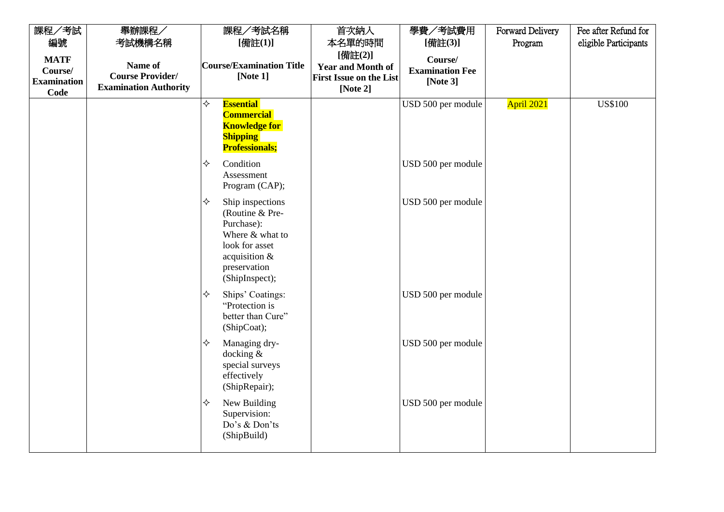| 課程/考試                                                | 舉辦課程/                                                              | 課程/考試名稱                                                                                                                                        | 首次納入                                                                                 | 學費/考試費用                                          | Forward Delivery  | Fee after Refund for  |
|------------------------------------------------------|--------------------------------------------------------------------|------------------------------------------------------------------------------------------------------------------------------------------------|--------------------------------------------------------------------------------------|--------------------------------------------------|-------------------|-----------------------|
| 編號                                                   | 考試機構名稱                                                             | [備註(1)]                                                                                                                                        | 本名單的時間                                                                               | [備註(3)]                                          | Program           | eligible Participants |
| <b>MATF</b><br>Course/<br><b>Examination</b><br>Code | Name of<br><b>Course Provider/</b><br><b>Examination Authority</b> | <b>Course/Examination Title</b><br>[Note $1$ ]                                                                                                 | [備註(2)]<br><b>Year and Month of</b><br><b>First Issue on the List</b><br>[Note $2$ ] | Course/<br><b>Examination Fee</b><br>[Note $3$ ] |                   |                       |
|                                                      |                                                                    | ♦<br><b>Essential</b><br><b>Commercial</b><br><b>Knowledge for</b><br><b>Shipping</b><br><b>Professionals;</b>                                 |                                                                                      | USD 500 per module                               | <b>April 2021</b> | <b>US\$100</b>        |
|                                                      |                                                                    | Condition<br>✧<br>Assessment<br>Program (CAP);                                                                                                 |                                                                                      | USD 500 per module                               |                   |                       |
|                                                      |                                                                    | ✧<br>Ship inspections<br>(Routine & Pre-<br>Purchase):<br>Where & what to<br>look for asset<br>acquisition &<br>preservation<br>(ShipInspect); |                                                                                      | USD 500 per module                               |                   |                       |
|                                                      |                                                                    | Ships' Coatings:<br>✧<br>"Protection is<br>better than Cure"<br>(ShipCoat);                                                                    |                                                                                      | USD 500 per module                               |                   |                       |
|                                                      |                                                                    | ✧<br>Managing dry-<br>docking $&$<br>special surveys<br>effectively<br>(ShipRepair);                                                           |                                                                                      | USD 500 per module                               |                   |                       |
|                                                      |                                                                    | New Building<br>✧<br>Supervision:<br>Do's & Don'ts<br>(ShipBuild)                                                                              |                                                                                      | USD 500 per module                               |                   |                       |